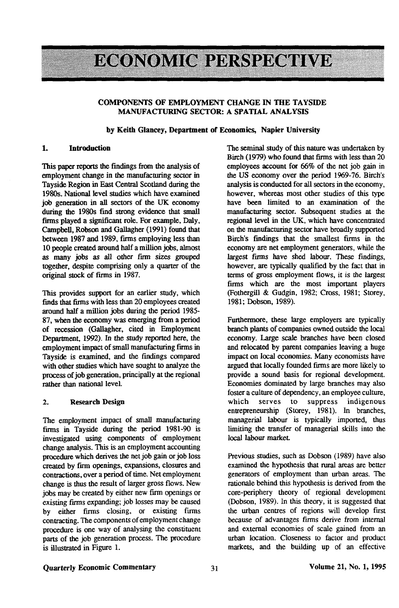# **ECONOMIC PERSPECTIVE**

#### **COMPONENTS OF EMPLOYMENT CHANGE IN THE TAYSIDE MANUFACTURING SECTOR: A SPATIAL ANALYSIS**

#### **by Keith Glancey, Department of Economics, Napier University**

## **1. Introduction**

This paper repots the findings from the analysis of employment change in the manufacturing sector in Tayside Region in East Central Scotland during the 1980s. National level studies which have examined job generation in all sectors of the UK economy during the 1980s find strong evidence that small firms played a significant role. For example, Daly, Campbell, Robson and Gallagher (1991) found that between 1987 and 1989, firms employing less than 10 people created around half a million jobs, almost as many jobs as all other firm sizes grouped together, despite comprising only a quarter of the original stock of firms in 1987.

This provides support for an earlier study, which finds that firms with less than 20 employees created around half a million jobs during the period 1985- 87, when the economy was emerging from a period of recession (Gallagher, cited in Employment Department, 1992). In the study reported here, the employment impact of small manufacturing firms in Tayside is examined, and the findings compared with other studies which have sought to analyze the process of job generation, principally at the regional rather than national level.

## 2. **Research** Design

The employment impact of small manufacturing firms in Tayside during the period 1981-90 is investigated using components of employment change analysis. This is an employment accounting procedure which derives the net job gain or job loss created by firm openings, expansions, closures and contractions, over a period of time. Net employment change is thus the result of larger gross flows. New jobs may be created by either new firm openings or existing firms expanding; job losses may be caused by either firms closing, or existing firms contracting. The components of employment change procedure is one way of analysing the constituent parts of the job generation process. The procedure is illustrated in Figure 1.

The seminal study of this nature was undertaken by Birch (1979) who found that firms with less than 20 employees account for 66% of the net job gain in the *US* economy over the period 1969-76. Birch's analysis is conducted for all sectors in the economy, however, whereas most other studies of this type have been limited to an examination of the manufacturing sector. Subsequent studies at the regional level in die UK, which have concentrated on the manufacturing sector have broadly supported Birch's findings that die smallest firms in the economy are net employment generators, while the largest firms have shed labour. These findings, however, are typically qualified by the fact that in terms of gross employment flows, it is the largest firms which are the most important players (Fothergill & Gudgin, 1982; Cross, 1981; Storey, 1981; Dobson, 1989).

Furthermore, these large employers are typically branch plants of companies owned outside the local economy. Large scale branches have been closed and relocated by parent companies leaving a huge impact on local economies. Many economists have argued that locally founded firms are more likely to provide a sound basis for regional development. Economies dominated by large branches may also foster a culture of dependency, an employee culture, which serves to suppress indigenous entrepreneurship (Storey, 1981). In branches, managerial labour is typically imported, thus limiting die transfer of managerial skills into the local labour market.

Previous studies, such as Dobson (1989) have also examined die hypodiesis that rural areas are better generators of employment than urban areas. The rationale behind this hypothesis is derived from the core-periphery theory of regional development (Dobson, 1989). In this theory, it is suggested that the urban centres of regions will develop first because of advantages firms derive from internal and external economies of scale gained from an urban location. Closeness to factor and product markets, and the building up of an effective

# **Quarterly Economic** Commentary **31 Volume 21, No. 1,1995**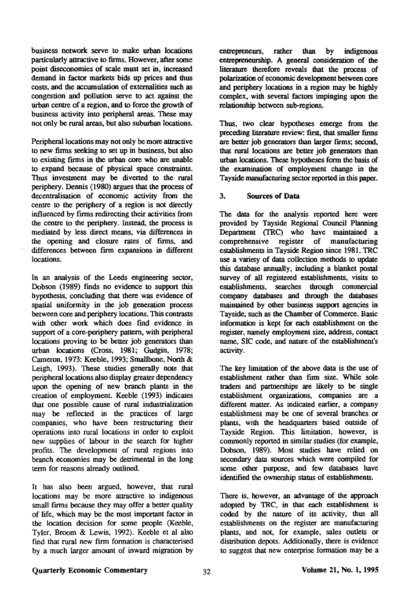business network serve to make urban locations particularly attractive to firms. However, after some point diseconomies of scale must set in, increased demand in factor markets bids up prices and thus costs, and the accumulation of externalities such as congestion and pollution serve to act against the urban centre of a region, and to force the growth of business activity into peripheral areas. These may not only be rural areas, but also suburban locations.

Peripheral locations may not only be more attractive to new firms seeking to set up in business, but also to existing firms in the urban core who are unable to expand because of physical space constraints. Thus investment may be diverted to the rural periphery. Dennis (1980) argues that the process of decentralisation of economic activity from the centre to the periphery of a region is not directly influenced by firms redirecting their activities from the centre to the periphery. Instead, the process is mediated by less direct means, via differences in the opening and closure rates of firms, and differences between firm expansions in different locations.

In an analysis of the Leeds engineering sector, Dobson (1989) finds no evidence to support this hypothesis, concluding that there was evidence of spatial uniformity in the job generation process between core and periphery locations. This contrasts with other work which does find evidence in support of a core-periphery pattern, with peripheral locations proving to be better job generators than urban locations (Cross, 1981; Gudgin, 1978; Cameron, 1973: Keeble, 1993; Smallbone, North & Leigh, 1993). These studies generally note that peripheral locations also display greater dependency upon the opening of new branch plants in the creation of employment Keeble (1993) indicates that one possible cause of rural industrialization may be reflected in the practices of large companies, who have been restructuring their operations into rural locations in order to exploit new supplies of labour in the search for higher profits. The development of rural regions into branch economies may be detrimental in the long term for reasons already outlined.

It has also been argued, however, that rural locations may be more attractive to indigenous small firms because they may offer a better quality of life, which may be the most important factor in the location decision for some people (Keeble, Tyler, Broom & Lewis, 1992). Keeble et al also find that rural new firm formation is characterised by a much larger amount of inward migration by

entrepreneurs, rather than by indigenous entrepreneurship. A general consideration of the literature therefore reveals that the process of polarization of economic development between core and periphery locations in a region may be highly complex, with several factors impinging upon the relationship between sub-regions.

Thus, two clear hypotheses emerge from the preceding literature review: first, that smaller firms are better job generators than larger firms; second, that rural locations are better job generators than urban locations. These hypotheses form the basis of the examination of employment change in the Tayside manufacturing sector reported in this paper.

## 3. **Sources of Data**

The data for the analysis reported here were provided by Tayside Regional Council Planning Department (TRC) who have maintained a comprehensive register of manufacturing establishments in Tayside Region since 1981. TRC use a variety of data collection methods to update this database annually, including a blanket postal survey of all registered establishments, visits to establishments, searches through commercial company databases and through the databases maintained by other business support agencies in Tayside, such as the Chamber of Commerce. Basic information is kept for each establishment on the register, namely employment size, address, contact name, SIC code, and nature of the establishment's activity.

The key limitation of the above data is the use of establishment rather than firm size. While sole traders and partnerships are likely to be single establishment organizations, companies are a different matter. As indicated earlier, a company establishment may be one of several branches or plants, with the headquarters based outside of Tayside Region. This limitation, however, is commonly reported in similar studies (for example, Dobson, 1989). Most studies have relied on secondary data sources which were compiled for some other purpose, and few databases have identified the ownership status of establishments.

There is, however, an advantage of the approach adopted by TRC, in that each establishment is coded by the nature of its activity, thus all establishments on the register are manufacturing plants, and not, for example, sales outlets or distribution depots. Additionally, there is evidence to suggest that new enterprise formation may be a

## **Quarterly Economic Commentary Volume 21, No. 1,1995**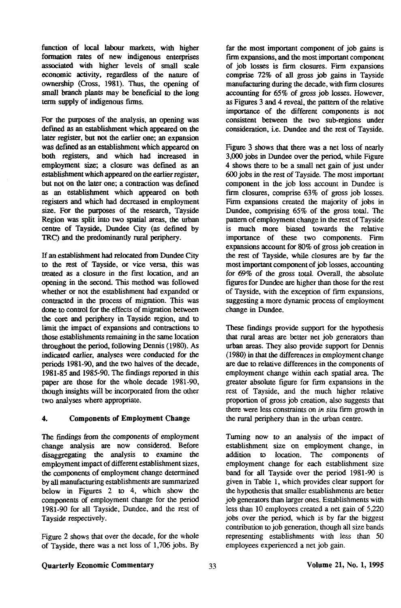function of local labour markets, with higher formation rates of new indigenous enterprises associated with higher levels of small scale economic activity, regardless of the nature of ownership (Cross, 1981). Thus, the opening of small branch plants may be beneficial to the long term supply of indigenous firms.

For the purposes of the analysis, an opening was defined as an establishment which appeared on the later register, but not the earlier one; an expansion was defined as an establishment which appeared on both registers, and which had increased in employment size; a closure was defined as an establishment which appeared on the earlier register, but not on the later one; a contraction was defined as an establishment which appeared on both registers and which had decreased in employment size. For the purposes of the research, Tayside Region was split into two spatial areas, the urban centre of Tayside, Dundee City (as defined by TRC) and the predominantly rural periphery.

If an establishment had relocated from Dundee City to the rest of Tayside, or vice versa, this was treated as a closure in the first location, and an opening in the second. This method was followed whether or not the establishment had expanded or contracted in the process of migration. This was done to control for the effects of migration between the core and periphery in Tayside region, and to limit the impact of expansions and contractions to those establishments remaining in the same location throughout the period, following Dennis (1980). As indicated earlier, analyses were conducted for the periods 1981-90, and the two halves of the decade, 1981-85 and 1985-90. The findings reported in this paper are those for the whole decade 1981-90, though insights will be incorporated from the other two analyses where appropriate.

## 4. Components of Employment Change

The findings from the components of employment change analysis are now considered. Before disaggregating the analysis to examine the employment impact of different establishment sizes, the components of employment change determined by all manufacturing establishments are summarized below in Figures 2 to 4, which show the components of employment change for the period 1981-90 for all Tayside, Dundee, and the rest of Tayside respectively.

Figure 2 shows that over the decade, for the whole of Tayside, there was a net loss of 1,706 jobs. By

far the most important component of job gains is firm expansions, and the most important component of job losses is firm closures. Firm expansions comprise 72% of all gross job gains in Tayside manufacturing during the decade, with firm closures accounting for 65% of gross job losses. However, as Figures 3 and 4 reveal, the pattern of the relative importance of the different components is not consistent between the two sub-regions under consideration, i.e. Dundee and the rest of Tayside.

Figure 3 shows that there was a net loss of nearly 3,000 jobs in Dundee over the period, while Figure 4 shows there to be a small net gain of just under 600 jobs in the rest of Tayside. The most important component in the job loss account in Dundee is firm closures, comprise 63% of gross job losses. Firm expansions created the majority of jobs in Dundee, comprising 65% of the gross total. The pattern of employment change in the rest of Tayside is much more biased towards the relative importance of these two components. Firm expansions account for 80% of gross job creation in the rest of Tayside, while closures are by far the most important component of job losses, accounting for 69% of the gross total. Overall, the absolute figures for Dundee are higher than those for the rest of Tayside, with the exception of firm expansions, suggesting a more dynamic process of employment change in Dundee.

These findings provide support for die hypothesis that rural areas are better net job generators than urban areas. They also provide support for Dennis (1980) in that the differences in employment change are due to relative differences in die components of employment change within each spatial area. The greater absolute figure for firm expansions in the rest of Tayside, and die much higher relative proportion of gross job creation, also suggests diat mere were less constraints on *in situ* firm growth in the rural periphery than in the urban centre.

Turning now to an analysis of the impact of establishment size on employment change, in addition to location. The components of employment change for each establishment size band for all Tayside over die period 1981-90 is given in Table 1, which provides clear support for the hypothesis that smaller establishments are better job generators than larger ones. Establishments with less dian 10 employees created a net gain of 5,220 jobs over the period, which is by far die biggest contribution to job generation, diough all size bands representing establishments with less than 50 employees experienced a net job gain.

## Quarterly Economic Commentary Volume 21, No. 1,1995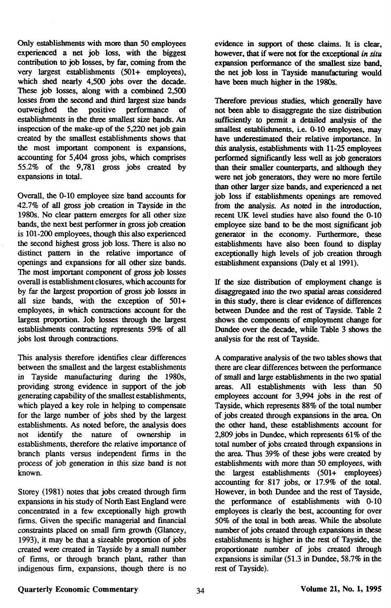Only establishments with more than SO employees experienced a net job loss, with the biggest contribution to job losses, by far, coming from the very largest establishments (501+ employees), which shed nearly 4,500 jobs over the decade. These job losses, along with a combined 2,500 losses from the second and third largest size bands the positive performance of establishments in the three smallest size bands. An inspection of the make-up of the 5,220 net job gain created by the smallest establishments shows that the most important component is expansions, accounting for 5,404 gross jobs, which comprises 55.2% of the 9,781 gross jobs created by expansions in total.

Overall, the 0-10 employee size band accounts for 42.7% of all gross job creation in Tayside in the 1980s. No clear partem emerges for all other size bands, the next best performer in gross job creation is 101-200 employees, though this also experienced the second highest gross job loss. There is also no distinct pattern in the relative importance of openings and expansions for all other size bands. The most important component of gross job losses overall is establishment closures, which accounts for by far the largest proportion of gross job losses in all size bands, with the exception of 501+ employees, in which contractions account for the largest proportion. Job losses through the largest establishments contracting represents 59% of all jobs lost through contractions.

This analysis therefore identifies clear differences between the smallest and the largest establishments in Tayside manufacturing during the 1980s, providing strong evidence in support of the job generating capability of the smallest establishments, which played a key role in helping to compensate for the large number of jobs shed by the largest establishments. As noted before, the analysis does not identify the nature of ownership in establishments, therefore the relative importance of branch plants versus independent firms in the process of job generation in this size band is not known.

Storey (1981) notes that jobs created through firm expansions in his study of North East England were concentrated in a few exceptionally high growth firms. Given the specific managerial and financial constraints placed on small firm growth (Glancey, 1993), it may be that a sizeable proportion of jobs created were created in Tayside by a small number of firms, or through branch plant, rather than indigenous firm, expansions, though there is no

evidence in support of these claims. It is clear, however, that if were not for the exceptional *in situ*  expansion performance of the smallest size band, the net job loss in Tayside manufacturing would have been much higher in the 1980s.

Therefore previous studies, which generally have not been able to disaggregate the size distribution sufficiently to permit a detailed analysis of the smallest establishments, i.e. 0-10 employees, may have underestimated their relative importance. In this analysis, establishments with 11-25 employees performed significantly less well as job generators than their smaller counterparts, and although they were net job generators, they were no more fertile than other larger size bands, and experienced a net job loss if establishments openings are removed from the analysis. As noted in the introduction, recent UK level studies have also found the 0-10 employee size band to be the most significant iob generator in the economy. Furthermore, these establishments have also been found to display exceptionally high levels of job creation through establishment expansions (Daly et al 1991).

If the size distribution of employment change is disaggregated into the two spatial areas considered in this study, there is clear evidence of differences between Dundee and die rest of Tayside. Table 2 shows the components of employment change for Dundee over the decade, while Table 3 shows the analysis for the rest of Tayside.

A comparative analysis of the two tables shows that there are clear differences between the performance of small and large establishments in the two spatial areas. All establishments with less than 50 employees account for 3,994 jobs in the rest of Tayside, which represents 88% of the total number of jobs created through expansions in the area. On the other hand, these establishments account for 2,809 jobs in Dundee, which represents 61% of the total number of jobs created through expansions in the area. Thus 39% of these jobs were created by establishments with more than 50 employees, with the largest establishments (501+ employees) accounting for 817 jobs, or 17.9% of the total. However, in both Dundee and the rest of Tayside, the performance of establishments with 0-10 employees is clearly the best, accounting for over 50% of the total in both areas. While the absolute number of jobs created through expansions in these establishments is higher in the rest of Tayside, the proportionate number of jobs created through expansions is similar (51.3 in Dundee, 58.7% in the rest of Tayside).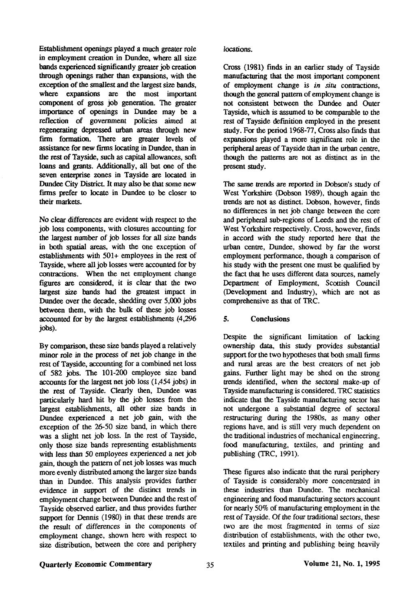Establishment openings played a much greater role in employment creation in Dundee, where all size bands experienced significantly greater job creation through openings rather than expansions, with the exception of the smallest and the largest size bands, where expansions are the most important component of gross job generation. The greater importance of openings in Dundee may be a reflection of government policies aimed at regenerating depressed urban areas through new firm formation. There are greater levels of assistance for new firms locating in Dundee, than in the rest of Tayside, such as capital allowances, soft loans and grants. Additionally, all but one of the seven enterprise zones in Tayside are located in Dundee City District. It may also be that some new firms prefer to locate in Dundee to be closer to their markets.

No clear differences are evident with respect to the job loss components, with closures accounting for the largest number of job losses for all size bands in both spatial areas, with the one exception of establishments with 501+ employees in the rest of Tayside, where all job losses were accounted for by contractions. When the net employment change figures are considered, it is clear that the two largest size bands had the greatest impact in Dundee over the decade, shedding over 5,000 jobs between them, with the bulk of these job losses accounted for by the largest establishments (4,296 jobs).

By comparison, these size bands played a relatively minor role in the process of net job change in the rest of Tayside, accounting for a combined net loss of 582 jobs. The 101-200 employee size band accounts for the largest net job loss (1,454 jobs) in the rest of Tayside. Clearly then, Dundee was particularly hard hit by the job losses from the largest establishments, all other size bands in Dundee experienced a net job gain, with the exception of the 26-50 size band, in which there was a slight net job loss. In the rest of Tayside, only those size bands representing establishments with less than 50 employees experienced a net job gain, though the pattern of net job losses was much more evenly distributed among the larger size bands than in Dundee. This analysis provides further evidence in support of the distinct trends in employment change between Dundee and the rest of Tayside observed earlier, and thus provides further support for Dennis (1980) in that these trends are the result of differences in the components of employment change, shown here with respect to size distribution, between the core and periphery

locations.

Cross (1981) finds in an earlier study of Tayside manufacturing that the most important component of employment change is *in situ* contractions, though the general pattern of employment change is not consistent between the Dundee and Outer Tayside, which is assumed to be comparable to the rest of Tayside definition employed in the present study. For the period 1968-77, Cross also finds that expansions played a more significant role in the peripheral areas of Tayside than in the urban centre, though the patterns are not as distinct as in the present study.

The same trends are reported in Dobson's study of West Yorkshire (Dobson 1989), though again the trends are not as distinct. Dobson, however, finds no differences in net job change between the core and peripheral sub-regions of Leeds and the rest of West Yorkshire respectively. Cross, however, finds in accord with the study reported here that the urban centre, Dundee, showed by far the worst employment performance, though a comparison of his study with the present one must be qualified by the fact that he uses different data sources, namely Department of Employment, Scottish Council (Development and Industry), which are not as comprehensive as that of TRC.

# 5. Conclusions

Despite the significant limitation of lacking ownership data, this study provides substantial support for the two hypotheses that both small firms and rural areas are the best creators of net job gains. Further light may be shed on the strong trends identified, when the sectoral make-up of Tayside manufacturing is considered. TRC statistics indicate that the Tayside manufacturing sector has not undergone a substantial degree of sectoral restructuring during the 1980s, as many other regions have, and is still very much dependent on the traditional industries of mechanical engineering, food manufacturing, textiles, and printing and publishing (TRC, 1991).

These figures also indicate that the rural periphery of Tayside is considerably more concentrated in these industries than Dundee. The mechanical engineering and food manufacturing sectors account for nearly 50% of manufacturing employment in the rest of Tayside. Of the four traditional sectors, these two are the most fragmented in terms of size distribution of establishments, with the other two, textiles and printing and publishing being heavily

#### Quarterly Economic Commentary Volume 21, No. 1, 1995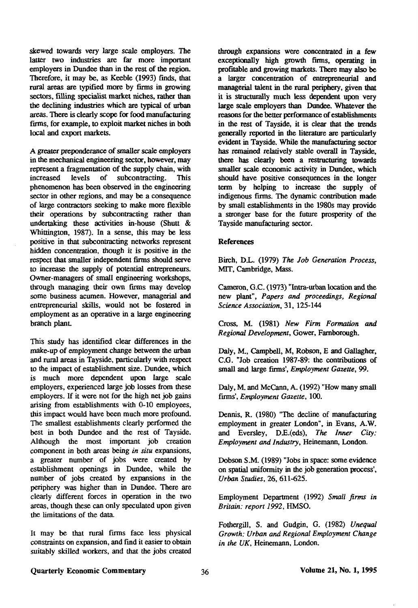skewed towards very large scale employers. The latter two industries are far more important employers in Dundee than in the rest of the region. Therefore, it may be, as Keebie (1993) finds, that rural areas are typified more by firms in growing sectors, filling specialist market niches, rather than the declining industries which are typical of urban areas. There is clearly scope for food manufacturing firms, for example, to exploit market niches in both local and export markets.

A greater preponderance of smaller scale employers in the mechanical engineering sector, however, may represent a fragmentation of the supply chain, with<br>increased levels of subcontracting. This increased levels of subcontracting. This phenomenon has been observed in the engineering sector in other regions, and may be a consequence of large contractors seeking to make more flexible their operations by subcontracting rather than undertaking these activities in-house (Shutt & Whittington, 1987). In a sense, this may be less positive in that subcontracting networks represent hidden concentration, though it is positive in the respect that smaller independent firms should serve to increase the supply of potential entrepreneurs. Owner-managers of small engineering workshops, through managing their own firms may develop some business acumen. However, managerial and entrepreneurial skills, would not be fostered in employment as an operative in a large engineering branch plant.

This study has identified clear differences in the make-up of employment change between the urban and rural areas in Tayside, particularly with respect to the impact of establishment size. Dundee, which is much more dependent upon large scale employers, experienced large job losses from these employers. If it were not for the high net job gains arising from establishments with 0-10 employees, this impact would have been much more profound. The smallest establishments clearly performed the best in both Dundee and the rest of Tayside. Although the most important job creation component in both areas being *in situ* expansions, a greater number of jobs were created by establishment openings in Dundee, while the number of jobs created by expansions in the periphery was higher than in Dundee. There are clearly different forces in operation in the two areas, though these can only speculated upon given the limitations of the data.

It may be that rural firms face less physical constraints on expansion, and find it easier to obtain suitably skilled workers, and that the jobs created through expansions were concentrated in a few exceptionally high growth firms, operating in profitable and growing markets. There may also be a larger concentration of entrepreneurial and managerial talent in the rural periphery, given that it is structurally much less dependent upon very large scale employers than Dundee. Whatever the reasons for the better performance of establishments in the rest of Tayside, it is clear that the trends generally reported in the literature are particularly evident in Tayside. While the manufacturing sector has remained relatively stable overall in Tayside, there has clearly been a restructuring towards smaller scale economic activity in Dundee, which should have positive consequences in the longer term by helping to increase the supply of indigenous firms. The dynamic contribution made by small establishments in the 1980s may provide a stronger base for the future prosperity of the Tayside manufacturing sector.

#### References

Birch, D.L. (1979) *The Job Generation Process,*  MIT, Cambridge, Mass.

Cameron, G.C. (1973) "Intra-urban location and the new plant", *Papers and proceedings, Regional Science Association,* 31, 125-144

Cross, M. (1981) *New Firm Formation and Regional Development,* Gower, Farnborough.

Daly, M., Campbell, M, Robson, E and Gallagher, C.G. "Job creation 1987-89: the contributions of small and large firms', *Employment Gazette,* 99.

Daly, M. and McCann, A. (1992) "How many small firms', *Employment Gazette,* 100.

Dennis, R. (1980) "The decline of manufacturing employment in greater London", in Evans, A.W. and Eversley, D£.(eds), *The Inner City: Employment and Industry,* Heinemann, London.

Dobson S.M. (1989) "Jobs in space: some evidence on spatial uniformity in the job generation process', *Urban Studies,* 26, 611-625.

Employment Department (1992) *Small firms in Britain: report 1992,* HMSO.

Fothergill, S. and Gudgin, G. (1982) *Unequal Growth: Urban and Regional Employment Change in the UK,* Heinemann, London.

# Quarterly Economic Commentary  $36$  Volume 21, No. 1, 1995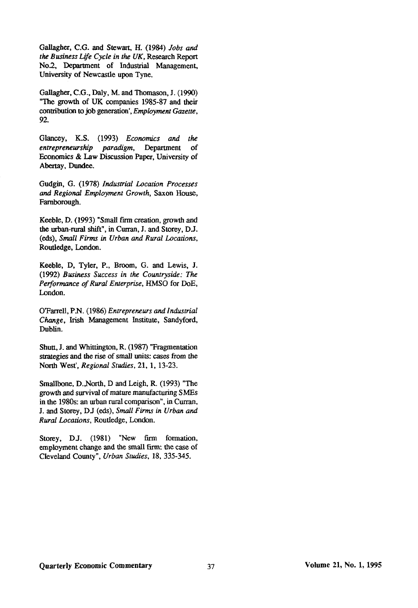Gallagher, C.G. and Stewart, H. (1984) *Jobs and the Business Life Cycle in the UK,* Research Report No.2, Department of Industrial Management, University of Newcastle upon Tyne.

Gallagher, C.G., Daly, M. and Thomason, J. (1990) "The growth of UK companies 1985-87 and their contribution to job generation', *Employment Gazette,*  92.

Glancey, K.S. (1993) *Economics and the entrepreneurship paradigm,* Department of Economics & Law Discussion Paper, University of Abertay, Dundee.

Gudgin, G. (1978) *Industrial Location Processes and Regional Employment Growth,* Saxon House, Farnborough.

Keeble, D. (1993) "Small firm creation, growth and the urban-rural shift", in Curran, J. and Storey, DJ. (eds), *Small Firms in Urban and Rural Locations,*  Routledge, London.

Keeble, D, Tyler, P., Broom, G. and Lewis, J. (1992) *Business Success in the Countryside: The Performance of Rural Enterprise,* HMSO for DoE, London.

OTarrell, P.N. (1986) *Entrepreneurs and Industrial Change,* Irish Management Institute, Sandyford, Dublin.

Shutt, J. and Whittington, R. (1987) "Fragmentation strategies and the rise of small units: cases from the North West', *Regional Studies,* 21, 1, 13-23.

Smallbone, D.,North, D and Leigh, R. (1993) "The growth and survival of mature manufacturing SMEs in the 1980s: an urban rural comparison", in Curran, J. and Storey, DJ (eds), *Small Firms in Urban and Rural Locations,* Routledge, London.

Storey, D.J. (1981) "New firm formation, employment change and the small firm: the case of Cleveland County", *Urban Studies,* 18, 335-345.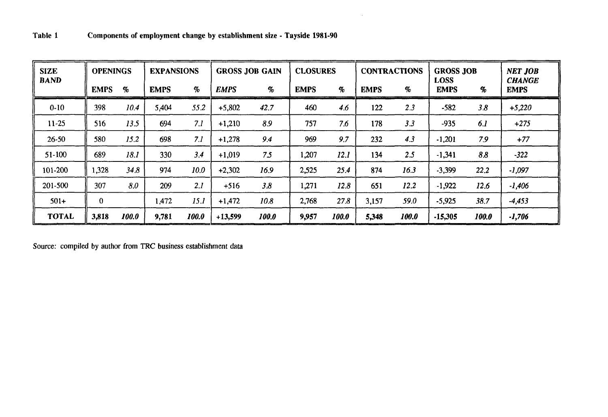| <b>SIZE</b>  | <b>OPENINGS</b> |                     | <b>EXPANSIONS</b> |                             | <b>GROSS JOB GAIN</b> |       | <b>CLOSURES</b> |                 | <b>CONTRACTIONS</b> |       | <b>GROSS JOB</b>           |       | <b>NET JOB</b>               |
|--------------|-----------------|---------------------|-------------------|-----------------------------|-----------------------|-------|-----------------|-----------------|---------------------|-------|----------------------------|-------|------------------------------|
| <b>BAND</b>  | <b>EMPS</b>     | $\mathbf{q}_{o}$    | <b>EMPS</b>       | $\mathcal{G}_{\mathcal{O}}$ | <b>EMPS</b>           | $\%$  | <b>EMPS</b>     | $\mathcal{G}_0$ | <b>EMPS</b>         | %     | <b>LOSS</b><br><b>EMPS</b> | %     | <b>CHANGE</b><br><b>EMPS</b> |
| $0 - 10$     | 398             | 10.4                | 5,404             | 55.2                        | $+5,802$              | 42.7  | 460             | 4.6             | 122                 | 2.3   | $-582$                     | 3.8   | $+5,220$                     |
| $11 - 25$    | 516             | 13.5                | 694               | 7.1                         | $+1,210$              | 8.9   | 757             | 7.6             | 178                 | 3.3   | $-935$                     | 6.1   | $+275$                       |
| $26 - 50$    | 580             | 15.2                | 698               | 7.1                         | $+1,278$              | 9.4   | 969             | 9.7             | 232                 | 4.3   | $-1,201$                   | 7.9   | $+77$                        |
| $51 - 100$   | 689             | 18.1                | 330               | 3.4                         | $+1,019$              | 7.5   | 1,207           | 12.1            | 134                 | 2.5   | $-1,341$                   | 8.8   | $-322$                       |
| 101-200      | 1,328           | 34.8                | 974               | 10.0                        | $+2,302$              | 16.9  | 2,525           | 25.4            | 874                 | 16.3  | $-3,399$                   | 22.2  | $-1,097$                     |
| 201-500      | 307             | 8.0                 | 209               | 2.1                         | $+516$                | 3.8   | 1,271           | 12.8            | 651                 | 12.2  | $-1,922$                   | 12.6  | $-1,406$                     |
| $501+$       | $\theta$        |                     | 1,472             | 15.1                        | $+1,472$              | 10.8  | 2,768           | 27.8            | 3,157               | 59.0  | $-5,925$                   | 38.7  | $-4,453$                     |
| <b>TOTAL</b> | 3,818           | <i><b>100.0</b></i> | 9,781             | 100.0                       | $+13,599$             | 100.0 | 9,957           | 100.0           | 5,348               | 100.0 | $-15,305$                  | 100.0 | $-1,706$                     |

 $\bar{\omega}$ 

**Source: compiled by author from TRC business establishment data**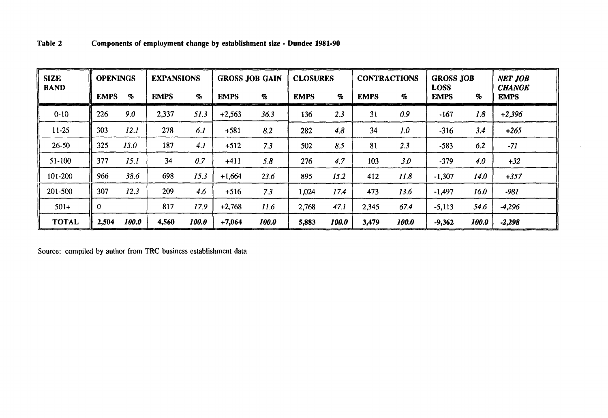| <b>SIZE</b>  | <b>OPENINGS</b> |       | <b>EXPANSIONS</b> |                             | <b>GROSS JOB GAIN</b> |                             | <b>CLOSURES</b> |          | <b>CONTRACTIONS</b> |                             | <b>GROSS JOB</b>           |       | <b>NET JOB</b>               |
|--------------|-----------------|-------|-------------------|-----------------------------|-----------------------|-----------------------------|-----------------|----------|---------------------|-----------------------------|----------------------------|-------|------------------------------|
| <b>BAND</b>  | <b>EMPS</b>     | $\%$  | <b>EMPS</b>       | $\mathcal{G}_{\mathcal{O}}$ | <b>EMPS</b>           | $\mathcal{G}_{\mathcal{O}}$ | <b>EMPS</b>     | $\sigma$ | <b>EMPS</b>         | $\mathcal{G}_{\mathcal{D}}$ | <b>LOSS</b><br><b>EMPS</b> | %     | <b>CHANGE</b><br><b>EMPS</b> |
| $0-10$       | 226             | 9.0   | 2,337             | 51.3                        | $+2,563$              | 36.3                        | 136             | 2,3      | 31                  | 0.9                         | $-167$                     | 1.8   | $+2,396$                     |
| $11 - 25$    | 303             | 12.1  | 278               | 6.1                         | $+581$                | 8.2                         | 282             | 4.8      | 34                  | 1.0                         | $-316$                     | 3.4   | $+265$                       |
| $26 - 50$    | 325             | 13.0  | 187               | 4.1                         | $+512$                | 7.3                         | 502             | 8.5      | 81                  | 2.3                         | $-583$                     | 6.2   | $-71$                        |
| $51-100$     | 377             | 15.1  | 34                | 0.7                         | $+411$                | 5.8                         | 276             | 4.7      | 103                 | 3.0                         | $-379$                     | 4.0   | $+32$                        |
| 101-200      | 966             | 38.6  | 698               | 15.3                        | $+1,664$              | 23.6                        | 895             | 15.2     | 412                 | 11.8                        | $-1,307$                   | 14.0  | $+357$                       |
| 201-500      | 307             | 12.3  | 209               | 4.6                         | $+516$                | 7.3                         | 1,024           | 174      | 473                 | 13.6                        | $-1,497$                   | 16.0  | $-981$                       |
| $501+$       | $\bf{0}$        |       | 817               | 17.9                        | $+2,768$              | 11.6                        | 2,768           | 47.1     | 2,345               | 67.4                        | $-5,113$                   | 54.6  | $-4,296$                     |
| <b>TOTAL</b> | 2,504           | 100.0 | 4,560             | 100.0                       | $+7,064$              | 100.0                       | 5,883           | 100.0    | 3,479               | 100.0                       | $-9,362$                   | 100.0 | $-2,298$                     |

Source: compiled by author from TRC business establishment data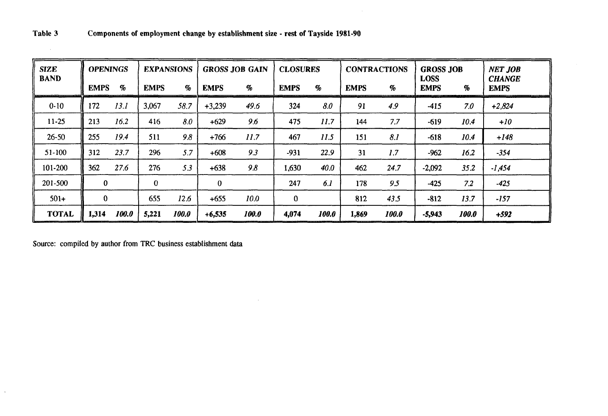| <b>SIZE</b><br><b>BAND</b> | <b>OPENINGS</b> |       | <b>EXPANSIONS</b> |       | <b>GROSS JOB GAIN</b> |       | <b>CLOSURES</b> |       | <b>CONTRACTIONS</b> |       | <b>GROSS JOB</b><br><b>LOSS</b> |       | <b>NET JOB</b><br><b>CHANGE</b> |
|----------------------------|-----------------|-------|-------------------|-------|-----------------------|-------|-----------------|-------|---------------------|-------|---------------------------------|-------|---------------------------------|
|                            | <b>EMPS</b>     | $\%$  | <b>EMPS</b>       | $\%$  | <b>EMPS</b>           | $\%$  | <b>EMPS</b>     | %     | <b>EMPS</b>         | %     | <b>EMPS</b>                     | %     | <b>EMPS</b>                     |
| $0 - 10$                   | 172             | 13.1  | 3,067             | 58.7  | $+3,239$              | 49.6  | 324             | 8.0   | 91                  | 4.9   | $-415$                          | 7.0   | $+2,824$                        |
| $11 - 25$                  | 213             | 16.2  | 416               | 8.0   | $+629$                | 9.6   | 475             | 11.7  | 144                 | 7.7   | $-619$                          | 10.4  | $+10$                           |
| $26 - 50$                  | 255             | 19.4  | 511               | 9.8   | $+766$                | 11.7  | 467             | 11.5  | 151                 | 8.1   | $-618$                          | 10.4  | $+148$                          |
| $51 - 100$                 | 312             | 23.7  | 296               | 5.7   | $+608$                | 9.3   | $-931$          | 22.9  | 31                  | 1.7   | $-962$                          | 16.2  | $-354$                          |
| 101-200                    | 362             | 27.6  | 276               | 5.3   | $+638$                | 9.8   | 1,630           | 40.0  | 462                 | 24.7  | $-2,092$                        | 35.2  | $-1,454$                        |
| 201-500                    | $\mathbf{0}$    |       | $\mathbf 0$       |       | $\bf{0}$              |       | 247             | 6.1   | 178                 | 9.5   | $-425$                          | 7.2   | $-425$                          |
| $501+$                     | $\mathbf 0$     |       | 655               | 12.6  | $+655$                | 10.0  | $\bf{0}$        |       | 812                 | 43.5  | $-812$                          | 13.7  | $-157$                          |
| <b>TOTAL</b>               | 1,314           | 100.0 | 5,221             | 100.0 | $+6,535$              | 100.0 | 4,074           | 100.0 | 1,869               | 100.0 | $-5,943$                        | 100.0 | $+592$                          |

Source: compiled by author from TRC business establishment data

 $\sim$ 

 $\lambda$